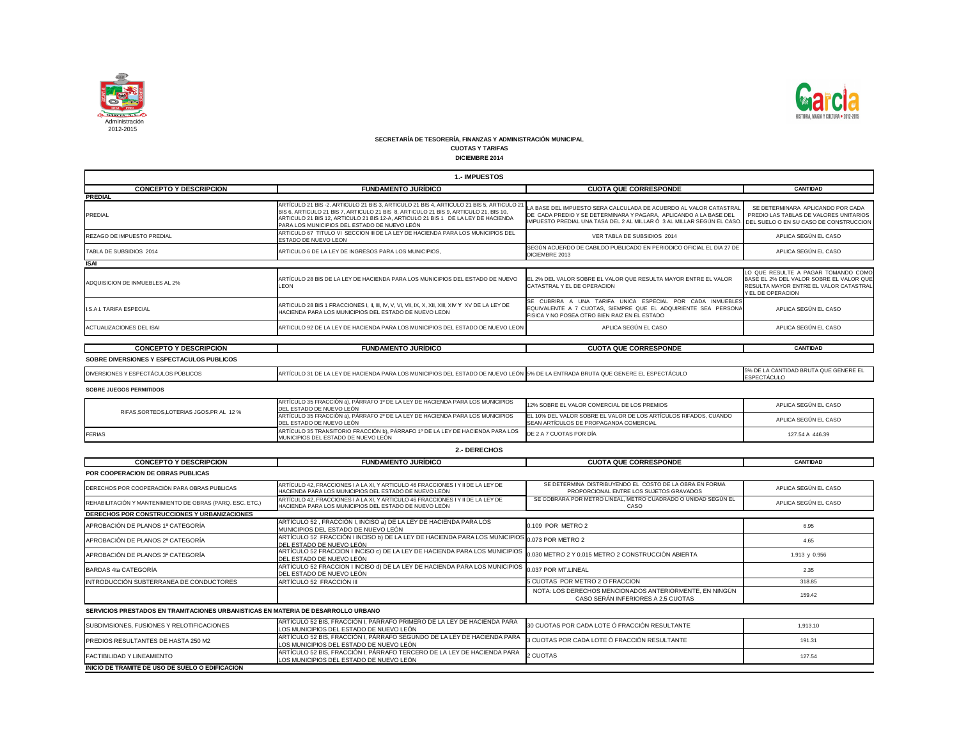

| 1.- IMPUESTOS                                                                     |                                                                                                                                                                                                                                                                                                                     |                                                                                                                                                                                                                  |                                                                                                                                               |  |
|-----------------------------------------------------------------------------------|---------------------------------------------------------------------------------------------------------------------------------------------------------------------------------------------------------------------------------------------------------------------------------------------------------------------|------------------------------------------------------------------------------------------------------------------------------------------------------------------------------------------------------------------|-----------------------------------------------------------------------------------------------------------------------------------------------|--|
| <b>CONCEPTO Y DESCRIPCION</b>                                                     | <b>FUNDAMENTO JURÍDICO</b>                                                                                                                                                                                                                                                                                          | <b>CUOTA QUE CORRESPONDE</b>                                                                                                                                                                                     | <b>CANTIDAD</b>                                                                                                                               |  |
| <b>PREDIAL</b>                                                                    |                                                                                                                                                                                                                                                                                                                     |                                                                                                                                                                                                                  |                                                                                                                                               |  |
| <b>PREDIAL</b>                                                                    | ARTÍCULO 21 BIS-2. ARTICULO 21 BIS 3, ARTICULO 21 BIS 4, ARTICULO 21 BIS 5, ARTICULO 2<br>BIS 6, ARTICULO 21 BIS 7, ARTICULO 21 BIS 8, ARTICULO 21 BIS 9, ARTICULO 21, BIS 10,<br>ARTICULO 21 BIS 12, ARTICULO 21 BIS 12-A, ARTICULO 21 BIS 1 DE LA LEY DE HACIENDA<br>PARA LOS MUNICIPIOS DEL ESTADO DE NUEVO LEÓN | LA BASE DEL IMPUESTO SERA CALCULADA DE ACUERDO AL VALOR CATASTRAL<br>DE CADA PREDIO Y SE DETERMINARA Y PAGARA, APLICANDO A LA BASE DEL<br>IMPUESTO PREDIAL UNA TASA DEL 2 AL MILLAR Ó 3 AL MILLAR SEGÚN EL CASO. | SE DETERMINARA APLICANDO POR CADA<br>PREDIO LAS TABLAS DE VALORES UNITARIOS<br>DEL SUELO O EN SU CASO DE CONSTRUCCION                         |  |
| <b>REZAGO DE IMPUESTO PREDIAL</b>                                                 | ARTICULO 67 TITULO VI SECCION III DE LA LEY DE HACIENDA PARA LOS MUNICIPIOS DEL<br>ESTADO DE NUEVO LEON                                                                                                                                                                                                             | VER TABLA DE SUBSIDIOS 2014                                                                                                                                                                                      | APLICA SEGÚN EL CASO                                                                                                                          |  |
| TABLA DE SUBSIDIOS 2014                                                           | ARTICULO 6 DE LA LEY DE INGRESOS PARA LOS MUNICIPIOS.                                                                                                                                                                                                                                                               | SEGÚN ACUERDO DE CABILDO PUBLICADO EN PERIODICO OFICIAL EL DIA 27 DE<br>DICIEMBRE 2013                                                                                                                           | APLICA SEGÚN EL CASO                                                                                                                          |  |
| <b>ISAI</b>                                                                       |                                                                                                                                                                                                                                                                                                                     |                                                                                                                                                                                                                  |                                                                                                                                               |  |
| ADQUISICION DE INMUEBLES AL 2%                                                    | ARTÍCULO 28 BIS DE LA LEY DE HACIENDA PARA LOS MUNICIPIOS DEL ESTADO DE NUEVO<br><b>LEON</b>                                                                                                                                                                                                                        | EL 2% DEL VALOR SOBRE EL VALOR QUE RESULTA MAYOR ENTRE EL VALOR<br>CATASTRAL Y EL DE OPERACION                                                                                                                   | LO QUE RESULTE A PAGAR TOMANDO COMO<br>BASE EL 2% DEL VALOR SOBRE EL VALOR QUE<br>RESULTA MAYOR ENTRE EL VALOR CATASTRAL<br>Y EL DE OPERACION |  |
| <b>I.S.A.I. TARIFA ESPECIAL</b>                                                   | HACIENDA PARA LOS MUNICIPIOS DEL ESTADO DE NUEVO LEON                                                                                                                                                                                                                                                               | SE CUBRIRA A UNA TARIFA UNICA ESPECIAL POR CADA INMUEBLES<br>EQUIVALENTE A 7 CUOTAS, SIEMPRE QUE EL ADQUIRIENTE SEA PERSONA<br>FISICA Y NO POSEA OTRO BIEN RAIZ EN EL ESTADO                                     | APLICA SEGÚN EL CASO                                                                                                                          |  |
| ACTUALIZACIONES DEL ISAI                                                          | ARTICULO 92 DE LA LEY DE HACIENDA PARA LOS MUNICIPIOS DEL ESTADO DE NUEVO LEON                                                                                                                                                                                                                                      | APLICA SEGÚN EL CASO                                                                                                                                                                                             | APLICA SEGÚN EL CASO                                                                                                                          |  |
|                                                                                   |                                                                                                                                                                                                                                                                                                                     |                                                                                                                                                                                                                  |                                                                                                                                               |  |
| <b>CONCEPTO Y DESCRIPCION</b>                                                     | <b>FUNDAMENTO JURÍDICO</b>                                                                                                                                                                                                                                                                                          | <b>CUOTA QUE CORRESPONDE</b>                                                                                                                                                                                     | <b>CANTIDAD</b>                                                                                                                               |  |
| SOBRE DIVERSIONES Y ESPECTACULOS PUBLICOS                                         |                                                                                                                                                                                                                                                                                                                     |                                                                                                                                                                                                                  |                                                                                                                                               |  |
| DIVERSIONES Y ESPECTÁCULOS PÚBLICOS                                               | ARTÍCULO 31 DE LA LEY DE HACIENDA PARA LOS MUNICIPIOS DEL ESTADO DE NUEVO LEÓN 5% DE LA ENTRADA BRUTA QUE GENERE EL ESPECTÁCULO                                                                                                                                                                                     |                                                                                                                                                                                                                  | 5% DE LA CANTIDAD BRUTA QUE GENERE EL<br><b>ESPECTÁCULO</b>                                                                                   |  |
| <b>SOBRE JUEGOS PERMITIDOS</b>                                                    |                                                                                                                                                                                                                                                                                                                     |                                                                                                                                                                                                                  |                                                                                                                                               |  |
|                                                                                   | ARTÍCULO 35 FRACCIÓN a), PÁRRAFO 1º DE LA LEY DE HACIENDA PARA LOS MUNICIPIOS<br>DEL ESTADO DE NUEVO LEÓN                                                                                                                                                                                                           | 12% SOBRE EL VALOR COMERCIAL DE LOS PREMIOS                                                                                                                                                                      | APLICA SEGÚN EL CASO                                                                                                                          |  |
| RIFAS, SORTEOS, LOTERIAS JGOS.PR AL 12 %                                          | ARTÍCULO 35 FRACCIÓN a), PÁRRAFO 2º DE LA LEY DE HACIENDA PARA LOS MUNICIPIOS<br>DEL ESTADO DE NUEVO LEÓN                                                                                                                                                                                                           | EL 10% DEL VALOR SOBRE EL VALOR DE LOS ARTÍCULOS RIFADOS, CUANDO<br>SEAN ARTÍCULOS DE PROPAGANDA COMERCIAL                                                                                                       | APLICA SEGÚN EL CASO                                                                                                                          |  |
| <b>FERIAS</b>                                                                     | ARTÍCULO 35 TRANSITORIO FRACCIÓN b), PÁRRAFO 1º DE LA LEY DE HACIENDA PARA LOS<br>MUNICIPIOS DEL ESTADO DE NUEVO LEÓN                                                                                                                                                                                               | DE 2 A 7 CUOTAS POR DÍA                                                                                                                                                                                          | 127.54 A 446.39                                                                                                                               |  |
|                                                                                   | 2.- DERECHOS                                                                                                                                                                                                                                                                                                        |                                                                                                                                                                                                                  |                                                                                                                                               |  |
| <b>CONCEPTO Y DESCRIPCION</b>                                                     | <b>FUNDAMENTO JURÍDICO</b>                                                                                                                                                                                                                                                                                          | <b>CUOTA QUE CORRESPONDE</b>                                                                                                                                                                                     | <b>CANTIDAD</b>                                                                                                                               |  |
| POR COOPERACION DE OBRAS PUBLICAS                                                 |                                                                                                                                                                                                                                                                                                                     |                                                                                                                                                                                                                  |                                                                                                                                               |  |
| DERECHOS POR COOPERACIÓN PARA OBRAS PUBLICAS                                      | ARTÍCULO 42, FRACCIONES I A LA XI, Y ARTICULO 46 FRACCIONES I Y II DE LA LEY DE<br>HACIENDA PARA LOS MUNICIPIOS DEL ESTADO DE NUEVO LEÓN                                                                                                                                                                            | SE DETERMINA DISTRIBUYENDO EL COSTO DE LA OBRA EN FORMA<br>PROPORCIONAL ENTRE LOS SUJETOS GRAVADOS                                                                                                               | APLICA SEGÚN EL CASO                                                                                                                          |  |
| REHABILITACIÓN Y MANTENIMIENTO DE OBRAS (PARQ. ESC. ETC.)                         | ARTÍCULO 42, FRACCIONES I A LA XI, Y ARTICULO 46 FRACCIONES I Y II DE LA LEY DE<br>HACIENDA PARA LOS MUNICIPIOS DEL ESTADO DE NUEVO LEÓN                                                                                                                                                                            | SE COBRARA POR METRO LINEAL, METRO CUADRADO O UNIDAD SEGÚN EL<br>CASO                                                                                                                                            | APLICA SEGÚN EL CASO                                                                                                                          |  |
| DERECHOS POR CONSTRUCCIONES Y URBANIZACIONES                                      |                                                                                                                                                                                                                                                                                                                     |                                                                                                                                                                                                                  |                                                                                                                                               |  |
| APROBACIÓN DE PLANOS 1ª CATEGORÍA                                                 | ARTÍCULO 52, FRACCIÓN I, INCISO a) DE LA LEY DE HACIENDA PARA LOS<br>MUNICIPIOS DEL ESTADO DE NUEVO LEÓN                                                                                                                                                                                                            | 0.109 POR METRO 2                                                                                                                                                                                                | 6.95                                                                                                                                          |  |
| APROBACIÓN DE PLANOS 2ª CATEGORÍA                                                 | ARTÍCULO 52 FRACCIÓN I INCISO b) DE LA LEY DE HACIENDA PARA LOS MUNICIPIOS 0.073 POR METRO 2<br>DEL ESTADO DE NUEVO LEÓN                                                                                                                                                                                            |                                                                                                                                                                                                                  | 4.65                                                                                                                                          |  |
| APROBACIÓN DE PLANOS 3ª CATEGORÍA                                                 | ARTÍCULO 52 FRACCION I INCISO c) DE LA LEY DE HACIENDA PARA LOS MUNICIPIOS<br>DEL ESTADO DE NUEVO LEÓN                                                                                                                                                                                                              | 0.030 METRO 2 Y 0.015 METRO 2 CONSTRUCCIÓN ABIERTA                                                                                                                                                               | 1.913 y 0.956                                                                                                                                 |  |
| BARDAS 4ta CATEGORÍA                                                              | ARTÍCULO 52 FRACCION I INCISO d) DE LA LEY DE HACIENDA PARA LOS MUNICIPIOS<br>DEL ESTADO DE NUEVO LEÓN                                                                                                                                                                                                              | 0.037 POR MT.LINEAL                                                                                                                                                                                              | 2.35                                                                                                                                          |  |
| INTRODUCCIÓN SUBTERRANEA DE CONDUCTORES                                           | ARTÍCULO 52 FRACCIÓN III                                                                                                                                                                                                                                                                                            | 5 CUOTAS POR METRO 2 O FRACCION                                                                                                                                                                                  | 318.85                                                                                                                                        |  |
|                                                                                   |                                                                                                                                                                                                                                                                                                                     | NOTA: LOS DERECHOS MENCIONADOS ANTERIORMENTE, EN NINGÚN<br>CASO SERÁN INFERIORES A 2.5 CUOTAS                                                                                                                    | 159.42                                                                                                                                        |  |
| SERVICIOS PRESTADOS EN TRAMITACIONES URBANISTICAS EN MATERIA DE DESARROLLO URBANO |                                                                                                                                                                                                                                                                                                                     |                                                                                                                                                                                                                  |                                                                                                                                               |  |
| SUBDIVISIONES, FUSIONES Y RELOTIFICACIONES                                        | ARTÍCULO 52 BIS, FRACCIÓN I, PÁRRAFO PRIMERO DE LA LEY DE HACIENDA PARA<br>LOS MUNICIPIOS DEL ESTADO DE NUEVO LEÓN I                                                                                                                                                                                                | 30 CUOTAS POR CADA LOTE Ó FRACCIÓN RESULTANTE                                                                                                                                                                    | 1,913.10                                                                                                                                      |  |
| PREDIOS RESULTANTES DE HASTA 250 M2                                               | ARTÍCULO 52 BIS, FRACCIÓN I, PÁRRAFO SEGUNDO DE LA LEY DE HACIENDA PARA<br>LOS MUNICIPIOS DEL ESTADO DE NUEVO LEÓN                                                                                                                                                                                                  | 3 CUOTAS POR CADA LOTE Ó FRACCIÓN RESULTANTE                                                                                                                                                                     | 191.31                                                                                                                                        |  |

FACTIBILIDAD Y LINEAMIENTO ARTÍCULO 52 BIS, FRACCIÓN I, PÁRRAFO TERCERO DE LA LEY DE HACIENDA PARA LOS MUNICIPIOS DEL ESTADO DE NUEVO LEÓN 2 CUOTAS



| 30 CUOTAS POR CADA LOTE Ó FRACCIÓN RESULTANTE  | 1.913.10 |
|------------------------------------------------|----------|
| 3 CUOTAS POR CADA LOTE Ó FRACCIÓN RESULTANTE . | 191.31   |
| 2 CUOTAS                                       | 127.54   |

**INICIO DE TRAMITE DE USO DE SUELO O EDIFICACION**

## **SECRETARÍA DE TESORERÍA, FINANZAS Y ADMINISTRACIÓN MUNICIPAL**

**CUOTAS Y TARIFAS**

**DICIEMBRE 2014**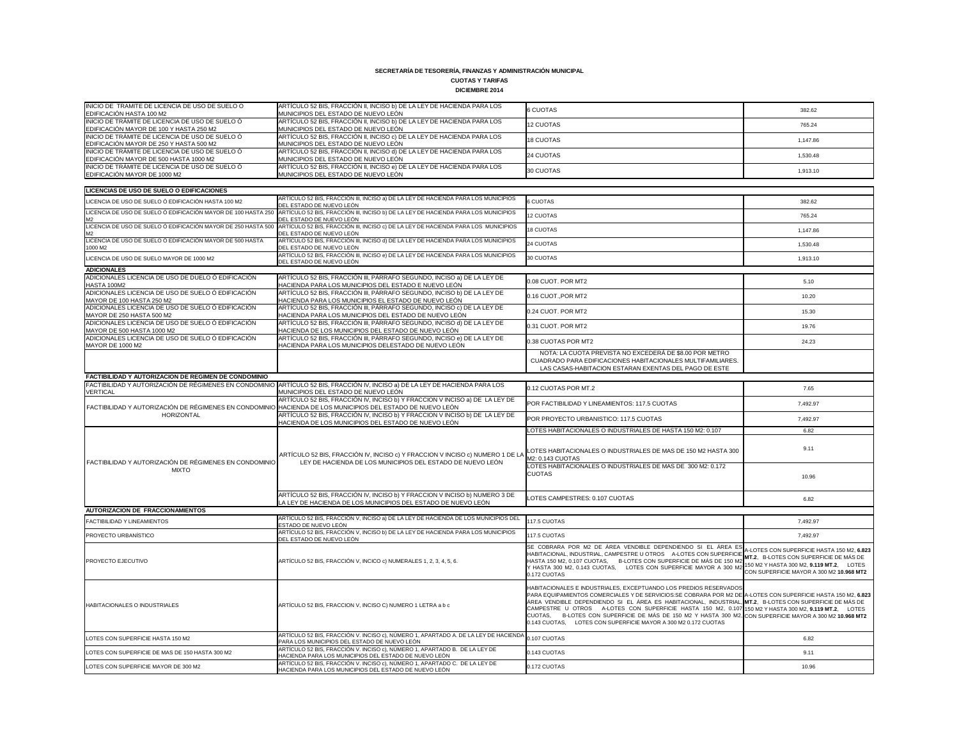#### **CUOTAS Y TARIFAS DICIEMBRE 2014**

|                                                                                                                      | דו טב בתושובוטוש                                                                                                                                 |                                                                                                                                                                                                                                                                                                                                                                                                                                                                                                                                                                                       |                                                                                                                                    |
|----------------------------------------------------------------------------------------------------------------------|--------------------------------------------------------------------------------------------------------------------------------------------------|---------------------------------------------------------------------------------------------------------------------------------------------------------------------------------------------------------------------------------------------------------------------------------------------------------------------------------------------------------------------------------------------------------------------------------------------------------------------------------------------------------------------------------------------------------------------------------------|------------------------------------------------------------------------------------------------------------------------------------|
| INICIO DE TRAMITE DE LICENCIA DE USO DE SUELO O<br>EDIFICACIÓN HASTA 100 M2                                          | ARTÍCULO 52 BIS, FRACCIÓN II, INCISO b) DE LA LEY DE HACIENDA PARA LOS<br>MUNICIPIOS DEL ESTADO DE NUEVO LEÓN                                    | <b>6 CUOTAS</b>                                                                                                                                                                                                                                                                                                                                                                                                                                                                                                                                                                       | 382.62                                                                                                                             |
| INICIO DE TRÁMITE DE LICENCIA DE USO DE SUELO Ó<br>EDIFICACIÓN MAYOR DE 100 Y HASTA 250 M2                           | ARTÍCULO 52 BIS, FRACCIÓN II, INCISO b) DE LA LEY DE HACIENDA PARA LOS<br>MUNICIPIOS DEL ESTADO DE NUEVO LEÓN                                    | 12 CUOTAS                                                                                                                                                                                                                                                                                                                                                                                                                                                                                                                                                                             | 765.24                                                                                                                             |
| INICIO DE TRÁMITE DE LICENCIA DE USO DE SUELO Ó<br>EDIFICACIÓN MAYOR DE 250 Y HASTA 500 M2                           | ARTÍCULO 52 BIS, FRACCIÓN II, INCISO c) DE LA LEY DE HACIENDA PARA LOS<br>MUNICIPIOS DEL ESTADO DE NUEVO LEÓN                                    | <b>18 CUOTAS</b>                                                                                                                                                                                                                                                                                                                                                                                                                                                                                                                                                                      | 1,147.86                                                                                                                           |
| INICIO DE TRÁMITE DE LICENCIA DE USO DE SUELO Ó<br>EDIFICACIÓN MAYOR DE 500 HASTA 1000 M2                            | ARTÍCULO 52 BIS, FRACCIÓN II, INCISO d) DE LA LEY DE HACIENDA PARA LOS<br>MUNICIPIOS DEL ESTADO DE NUEVO LEÓN                                    | 24 CUOTAS                                                                                                                                                                                                                                                                                                                                                                                                                                                                                                                                                                             | 1,530.48                                                                                                                           |
| INICIO DE TRÁMITE DE LICENCIA DE USO DE SUELO Ó<br>EDIFICACIÓN MAYOR DE 1000 M2                                      | ARTÍCULO 52 BIS, FRACCIÓN II, INCISO e) DE LA LEY DE HACIENDA PARA LOS<br>MUNICIPIOS DEL ESTADO DE NUEVO LEÓN                                    | 30 CUOTAS                                                                                                                                                                                                                                                                                                                                                                                                                                                                                                                                                                             | 1,913.10                                                                                                                           |
|                                                                                                                      |                                                                                                                                                  |                                                                                                                                                                                                                                                                                                                                                                                                                                                                                                                                                                                       |                                                                                                                                    |
| <b>LICENCIAS DE USO DE SUELO O EDIFICACIONES</b>                                                                     | ARTÍCULO 52 BIS, FRACCIÓN III, INCISO a) DE LA LEY DE HACIENDA PARA LOS MUNICIPIOS                                                               | <b>6 CUOTAS</b>                                                                                                                                                                                                                                                                                                                                                                                                                                                                                                                                                                       |                                                                                                                                    |
| LICENCIA DE USO DE SUELO Ó EDIFICACIÓN HASTA 100 M2<br>LICENCIA DE USO DE SUELO Ó EDIFICACIÓN MAYOR DE 100 HASTA 250 | DEL ESTADO DE NUEVO LEÓN<br>ARTÍCULO 52 BIS, FRACCIÓN III, INCISO b) DE LA LEY DE HACIENDA PARA LOS MUNICIPIOS                                   |                                                                                                                                                                                                                                                                                                                                                                                                                                                                                                                                                                                       | 382.62                                                                                                                             |
| M2<br>LICENCIA DE USO DE SUELO Ó EDIFICACIÓN MAYOR DE 250 HASTA 500                                                  | DEL ESTADO DE NUEVO LEÓN<br>ARTÍCULO 52 BIS, FRACCIÓN III, INCISO c) DE LA LEY DE HACIENDA PARA LOS MUNICIPIOS                                   | <b>12 CUOTAS</b>                                                                                                                                                                                                                                                                                                                                                                                                                                                                                                                                                                      | 765.24                                                                                                                             |
| LICENCIA DE USO DE SUELO Ó EDIFICACIÓN MAYOR DE 500 HASTA                                                            | DEL ESTADO DE NUEVO LEÓN<br>ARTÍCULO 52 BIS, FRACCIÓN III, INCISO d) DE LA LEY DE HACIENDA PARA LOS MUNICIPIOS                                   | <b>18 CUOTAS</b>                                                                                                                                                                                                                                                                                                                                                                                                                                                                                                                                                                      | 1,147.86                                                                                                                           |
| 1000 M2                                                                                                              | DEL ESTADO DE NUEVO LEÓN<br>ARTÍCULO 52 BIS, FRACCIÓN III, INCISO e) DE LA LEY DE HACIENDA PARA LOS MUNICIPIOS                                   | 24 CUOTAS                                                                                                                                                                                                                                                                                                                                                                                                                                                                                                                                                                             | 1,530.48                                                                                                                           |
| LICENCIA DE USO DE SUELO MAYOR DE 1000 M2                                                                            | DEL ESTADO DE NUEVO LEÓN                                                                                                                         | 30 CUOTAS                                                                                                                                                                                                                                                                                                                                                                                                                                                                                                                                                                             | 1,913.10                                                                                                                           |
| <b>ADICIONALES</b><br>ADICIONALES LICENCIA DE USO DE DUELO Ó EDIFICACIÓN                                             | ARTÍCULO 52 BIS, FRACCIÓN III, PÁRRAFO SEGUNDO, INCISO a) DE LA LEY DE                                                                           |                                                                                                                                                                                                                                                                                                                                                                                                                                                                                                                                                                                       |                                                                                                                                    |
| HASTA 100M2                                                                                                          | HACIENDA PARA LOS MUNICIPIOS DEL ESTADO E NUEVO LEÓN                                                                                             | 0.08 CUOT. POR MT2                                                                                                                                                                                                                                                                                                                                                                                                                                                                                                                                                                    | 5.10                                                                                                                               |
| ADICIONALES LICENCIA DE USO DE SUELO Ó EDIFICACIÓN<br>MAYOR DE 100 HASTA 250 M2                                      | ARTÍCULO 52 BIS, FRACCIÓN III, PÁRRAFO SEGUNDO, INCISO b) DE LA LEY DE<br>HACIENDA PARA LOS MUNICIPIOS EL ESTADO DE NUEVO LEÓN                   | 0.16 CUOT., POR MT2                                                                                                                                                                                                                                                                                                                                                                                                                                                                                                                                                                   | 10.20                                                                                                                              |
| ADICIONALES LICENCIA DE USO DE SUELO Ó EDIFICACIÓN<br>MAYOR DE 250 HASTA 500 M2                                      | ARTÍCULO 52 BIS, FRACCIÓN III, PÁRRAFO SEGUNDO, INCISO c) DE LA LEY DE<br>HACIENDA PARA LOS MUNICIPIOS DEL ESTADO DE NUEVO LEÓN                  | 0.24 CUOT. POR MT2                                                                                                                                                                                                                                                                                                                                                                                                                                                                                                                                                                    | 15.30                                                                                                                              |
| ADICIONALES LICENCIA DE USO DE SUELO Ó EDIFICACIÓN<br>MAYOR DE 500 HASTA 1000 M2                                     | ARTÍCULO 52 BIS, FRACCIÓN III, PÁRRAFO SEGUNDO, INCISO d) DE LA LEY DE<br>HACIENDA DE LOS MUNICIPIOS DEL ESTADO DE NUEVO LEÓN                    | 0.31 CUOT. POR MT2                                                                                                                                                                                                                                                                                                                                                                                                                                                                                                                                                                    | 19.76                                                                                                                              |
| ADICIONALES LICENCIA DE USO DE SUELO Ó EDIFICACIÓN<br><b>MAYOR DE 1000 M2</b>                                        | ARTÍCULO 52 BIS, FRACCIÓN III, PÁRRAFO SEGUNDO, INCISO e) DE LA LEY DE<br>HACIENDA PARA LOS MUNICIPIOS DELESTADO DE NUEVO LEÓN                   | 0.38 CUOTAS POR MT2                                                                                                                                                                                                                                                                                                                                                                                                                                                                                                                                                                   | 24.23                                                                                                                              |
|                                                                                                                      |                                                                                                                                                  | NOTA: LA CUOTA PREVISTA NO EXCEDERÁ DE \$8.00 POR METRO<br>CUADRADO PARA EDIFICACIONES HABITACIONALES MULTIFAMILIARES.<br>LAS CASAS-HABITACION ESTARAN EXENTAS DEL PAGO DE ESTE                                                                                                                                                                                                                                                                                                                                                                                                       |                                                                                                                                    |
| <b>FACTIBILIDAD Y AUTORIZACION DE REGIMEN DE CONDOMINIO</b>                                                          | FACTIBILIDAD Y AUTORIZACIÓN DE RÉGIMENES EN CONDOMINIO ARTÍCULO 52 BIS, FRACCIÓN IV, INCISO a) DE LA LEY DE HACIENDA PARA LOS                    |                                                                                                                                                                                                                                                                                                                                                                                                                                                                                                                                                                                       |                                                                                                                                    |
| <b>VERTICAL</b>                                                                                                      | MUNICIPIOS DEL ESTADO DE NUEVO LEÓN                                                                                                              | 0.12 CUOTAS POR MT.2                                                                                                                                                                                                                                                                                                                                                                                                                                                                                                                                                                  | 7.65                                                                                                                               |
| FACTIBILIDAD Y AUTORIZACIÓN DE RÉGIMENES EN CONDOMINIO HACIENDA DE LOS MUNICIPIOS DEL ESTADO DE NUEVO LEÓN           | ARTÍCULO 52 BIS, FRACCIÓN IV, INCISO b) Y FRACCION V INCISO a) DE LA LEY DE                                                                      | POR FACTIBILIDAD Y LINEAMIENTOS: 117.5 CUOTAS                                                                                                                                                                                                                                                                                                                                                                                                                                                                                                                                         | 7,492.97                                                                                                                           |
| HORIZONTAL                                                                                                           | ARTÍCULO 52 BIS, FRACCIÓN IV, INCISO b) Y FRACCION V INCISO b) DE LA LEY DE<br>HACIENDA DE LOS MUNICIPIOS DEL ESTADO DE NUEVO LEÓN               | POR PROYECTO URBANISTICO: 117.5 CUOTAS                                                                                                                                                                                                                                                                                                                                                                                                                                                                                                                                                | 7,492.97                                                                                                                           |
|                                                                                                                      |                                                                                                                                                  | LOTES HABITACIONALES O INDUSTRIALES DE HASTA 150 M2: 0.107                                                                                                                                                                                                                                                                                                                                                                                                                                                                                                                            | 6.82                                                                                                                               |
| FACTIBILIDAD Y AUTORIZACIÓN DE RÉGIMENES EN CONDOMINIO                                                               | ARTÍCULO 52 BIS, FRACCIÓN IV, INCISO c) Y FRACCION V INCISO c) NUMERO 1 DE LA<br>LEY DE HACIENDA DE LOS MUNICIPIOS DEL ESTADO DE NUEVO LEÓN      | LOTES HABITACIONALES O INDUSTRIALES DE MAS DE 150 M2 HASTA 300<br>M2: 0.143 CUOTAS                                                                                                                                                                                                                                                                                                                                                                                                                                                                                                    | 9.11                                                                                                                               |
| <b>MIXTO</b>                                                                                                         |                                                                                                                                                  | LOTES HABITACIONALES O INDUSTRIALES DE MAS DE 300 M2: 0.172<br><b>CUOTAS</b>                                                                                                                                                                                                                                                                                                                                                                                                                                                                                                          | 10.96                                                                                                                              |
|                                                                                                                      | ARTÍCULO 52 BIS, FRACCIÓN IV, INCISO b) Y FRACCION V INCISO b) NUMERO 3 DE<br>LA LEY DE HACIENDA DE LOS MUNICIPIOS DEL ESTADO DE NUEVO LEÓN      | LOTES CAMPESTRES: 0.107 CUOTAS                                                                                                                                                                                                                                                                                                                                                                                                                                                                                                                                                        | 6.82                                                                                                                               |
| <b>AUTORIZACION DE FRACCIONAMIENTOS</b>                                                                              |                                                                                                                                                  |                                                                                                                                                                                                                                                                                                                                                                                                                                                                                                                                                                                       |                                                                                                                                    |
| <b>FACTIBILIDAD Y LINEAMIENTOS</b>                                                                                   | ARTÍCULO 52 BIS, FRACCIÓN V, INCISO a) DE LA LEY DE HACIENDA DE LOS MUNICIPIOS DEL<br>ESTADO DE NUEVO LEÓN                                       | 117.5 CUOTAS                                                                                                                                                                                                                                                                                                                                                                                                                                                                                                                                                                          | 7,492.97                                                                                                                           |
| PROYECTO URBANÍSTICO                                                                                                 | ARTÍCULO 52 BIS, FRACCIÓN V, INCISO b) DE LA LEY DE HACIENDA PARA LOS MUNICIPIOS<br>DEL ESTADO DE NUEVO LEÓN                                     | 117.5 CUOTAS                                                                                                                                                                                                                                                                                                                                                                                                                                                                                                                                                                          | 7,492.97                                                                                                                           |
| <b>PROYECTO EJECUTIVO</b>                                                                                            | ARTÍCULO 52 BIS, FRACCIÓN V, INCICO c) NUMERALES 1, 2, 3, 4, 5, 6.                                                                               | SE COBRARA POR M2 DE ÁREA VENDIBLE DEPENDIENDO SI EL ÁREA ES<br>HABITACIONAL, INDUSTRIAL, CAMPESTRE U OTROS A-LOTES CON SUPERFICIE TENDER CON SUPERFICIE DE MÁS DE<br>HASTA 150 M2, 0.107 CUOTAS, B-LOTES CON SUPERFICIE DE MÁS DE 150 M2<br>Y HASTA 300 M2, 0.143 CUOTAS, LOTES CON SUPERFICIE MAYOR A 300 M2<br>0.172 CUOTAS                                                                                                                                                                                                                                                        | A-LOTES CON SUPERFICIE HASTA 150 M2, 6.823<br>150 M2 Y HASTA 300 M2, 9.119 MT.2, LOTES<br>CON SUPERFICIE MAYOR A 300 M2 10.968 MT2 |
| <b>HABITACIONALES O INDUSTRIALES</b>                                                                                 | ARTÍCULO 52 BIS, FRACCION V, INCISO C) NUMERO 1 LETRA a b c                                                                                      | HABITACIONALES E INDUSTRIALES, EXCEPTUANDO LOS PREDIOS RESERVADOS<br>PARA EQUIPAMIENTOS COMERCIALES Y DE SERVICIOS:SE COBRARA POR M2 DE A-LOTES CON SUPERFICIE HASTA 150 M2, 6.823<br>ÁREA VENDIBLE DEPENDIENDO SI EL ÁREA ES HABITACIONAL, INDUSTRIAL, MT.2, B-LOTES CON SUPERFICIE DE MÁS DE<br>CAMPESTRE U OTROS A-LOTES CON SUPERFICIE HASTA 150 M2, 0.107 150 M2 Y HASTA 300 M2, 9.119 MT.2, LOTES<br>CUOTAS, B-LOTES CON SUPERFICIE DE MÁS DE 150 M2 Y HASTA 300 M2, CON SUPERFICIE MAYOR A 300 M2 10.968 MT2<br>0.143 CUOTAS, LOTES CON SUPERFICIE MAYOR A 300 M2 0.172 CUOTAS |                                                                                                                                    |
| LOTES CON SUPERFICIE HASTA 150 M2                                                                                    | ARTÍCULO 52 BIS, FRACCIÓN V. INCISO c), NÚMERO 1, APARTADO A. DE LA LEY DE HACIENDA 0.107 CUOTAS<br>PARA LOS MUNICIPIOS DEL ESTADO DE NUEVO LEÓN |                                                                                                                                                                                                                                                                                                                                                                                                                                                                                                                                                                                       | 6.82                                                                                                                               |
| LOTES CON SUPERFICIE DE MAS DE 150 HASTA 300 M2                                                                      | ARTÍCULO 52 BIS, FRACCIÓN V. INCISO c), NÚMERO 1, APARTADO B. DE LA LEY DE<br>HACIENDA PARA LOS MUNICIPIOS DEL ESTADO DE NUEVO LEÓN              | 0.143 CUOTAS                                                                                                                                                                                                                                                                                                                                                                                                                                                                                                                                                                          | 9.11                                                                                                                               |
| LOTES CON SUPERFICIE MAYOR DE 300 M2                                                                                 | ARTÍCULO 52 BIS, FRACCIÓN V. INCISO c), NÚMERO 1, APARTADO C. DE LA LEY DE<br>HACIENDA PARA LOS MUNICIPIOS DEL ESTADO DE NUEVO LEÓN              | 0.172 CUOTAS                                                                                                                                                                                                                                                                                                                                                                                                                                                                                                                                                                          | 10.96                                                                                                                              |
|                                                                                                                      |                                                                                                                                                  |                                                                                                                                                                                                                                                                                                                                                                                                                                                                                                                                                                                       |                                                                                                                                    |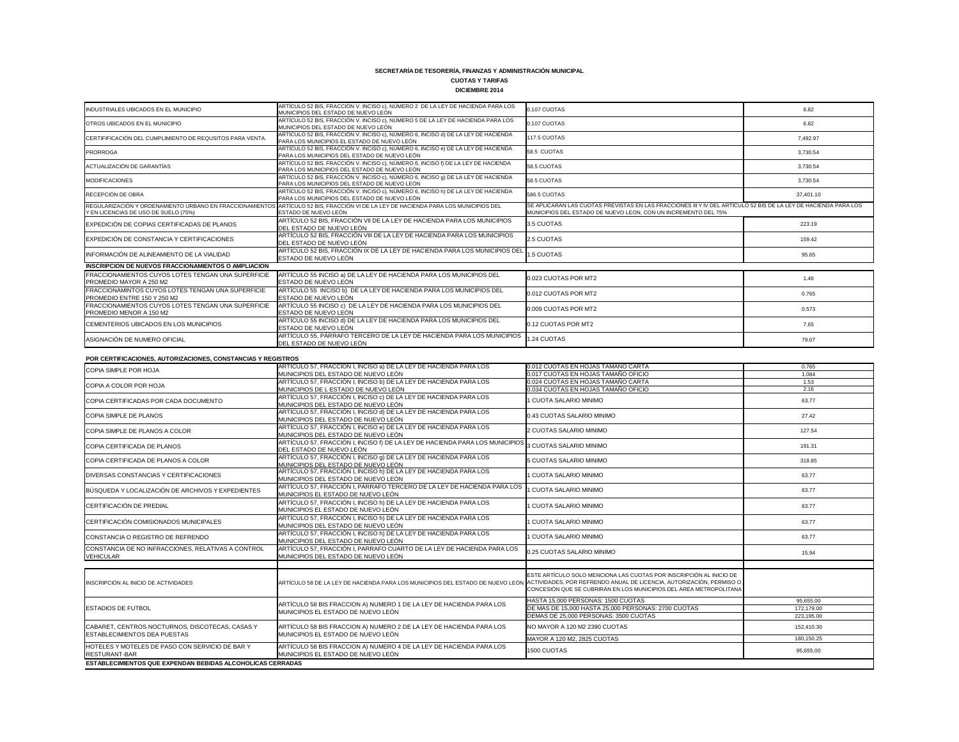### **CUOTAS Y TARIFAS DICIEMBRE 2014**

| INDUSTRIALES UBICADOS EN EL MUNICIPIO                                                            | ARTÍCULO 52 BIS, FRACCIÓN V. INCISO c), NÚMERO 2 DE LA LEY DE HACIENDA PARA LOS<br>MUNICIPIOS DEL ESTADO DE NUEVO LEÓN            | 0.107 CUOTAS                                                                                                                                                                      | 6.82      |
|--------------------------------------------------------------------------------------------------|-----------------------------------------------------------------------------------------------------------------------------------|-----------------------------------------------------------------------------------------------------------------------------------------------------------------------------------|-----------|
| OTROS UBICADOS EN EL MUNICIPIO                                                                   | ARTÍCULO 52 BIS, FRACCIÓN V. INCISO c), NÚMERO 5 DE LA LEY DE HACIENDA PARA LOS<br>MUNICIPIOS DEL ESTADO DE NUEVO LEÓN            | 0.107 CUOTAS                                                                                                                                                                      | 6.82      |
| CERTIFIFICACIÓN DEL CUMPLIMIENTO DE REQUSITOS PARA VENTA.                                        | ARTÍCULO 52 BIS, FRACCIÓN V. INCISO c), NÚMERO 6, INCISO d) DE LA LEY DE HACIENDA<br>PARA LOS MUNICIPIOS EL ESTADO DE NUEVO LEÓN  | 117.5 CUOTAS                                                                                                                                                                      | 7.492.97  |
| <b>PRORROGA</b>                                                                                  | ARTÍCULO 52 BIS, FRACCIÓN V. INCISO c), NÚMERO 6, INCISO e) DE LA LEY DE HACIENDA<br>PARA LOS MUNICIPIOS DEL ESTADO DE NUEVO LEÓN | 58.5 CUOTAS                                                                                                                                                                       | 3,730.54  |
| ACTUALIZACIÓN DE GARANTÍAS                                                                       | ARTÍCULO 52 BIS, FRACCIÓN V. INCISO c), NÚMERO 6, INCISO f) DE LA LEY DE HACIENDA<br>PARA LOS MUNICIPIOS DEL ESTADO DE NUEVO LEÓN | 58.5 CUOTAS                                                                                                                                                                       | 3,730.54  |
| <b>MODIFICACIONES</b>                                                                            | ARTÍCULO 52 BIS, FRACCIÓN V. INCISO c), NÚMERO 6, INCISO 9) DE LA LEY DE HACIENDA<br>PARA LOS MUNICIPIOS DEL ESTADO DE NUEVO LEÓN | 58.5 CUOTAS                                                                                                                                                                       | 3,730.54  |
| RECEPCIÓN DE OBRA                                                                                | ARTÍCULO 52 BIS, FRACCIÓN V. INCISO c), NÚMERO 6, INCISO h) DE LA LEY DE HACIENDA<br>PARA LOS MUNICIPIOS DEL ESTADO DE NUEVO LEÓN | 586.5 CUOTAS                                                                                                                                                                      | 37,401.10 |
| REGULARIZACIÓN Y ORDENAMIENTO URBANO EN FRACCIONAMIENTOS<br>Y EN LICENCIAS DE USO DE SUELO (75%) | ARTÍCULO 52 BIS, FRACCIÓN VI DE LA LEY DE HACIENDA PARA LOS MUNICIPIOS DEL<br>ESTADO DE NUEVO LEÓN                                | SE APLICARAN LAS CUOTAS PREVISTAS EN LAS FRACCIONES III Y IV DEL ARTÍCULO 52 BIS DE LA LEY DE HACIENDA PARA LOS<br>MUNICIPIOS DEL ESTADO DE NUEVO LEON, CON UN INCREMENTO DEL 75% |           |
| EXPEDICIÓN DE COPIAS CERTIFICADAS DE PLANOS                                                      | ARTÍCULO 52 BIS, FRACCIÓN VII DE LA LEY DE HACIENDA PARA LOS MUNICIPIOS<br>DEL ESTADO DE NUEVO LEÓN                               | 3.5 CUOTAS                                                                                                                                                                        | 223.19    |
| EXPEDICIÓN DE CONSTANCIA Y CERTIFICACIONES                                                       | ARTÍCULO 52 BIS, FRACCIÓN VIII DE LA LEY DE HACIENDA PARA LOS MUNICIPIOS<br>DEL ESTADO DE NUEVO LEÓN                              | 2.5 CUOTAS                                                                                                                                                                        | 159.42    |
| INFORMACIÓN DE ALINEAMIENTO DE LA VIALIDAD                                                       | ARTÍCULO 52 BIS, FRACCIÓN IX DE LA LEY DE HACIENDA PARA LOS MUNICIPIOS DEL<br>ESTADO DE NUEVO LEÓN                                | 1.5 CUOTAS                                                                                                                                                                        | 95.65     |
| <b>INSCRIPCION DE NUEVOS FRACCIONAMIENTOS O AMPLIACION</b>                                       |                                                                                                                                   |                                                                                                                                                                                   |           |
| FRACCIONAMIENTOS CUYOS LOTES TENGAN UNA SUPERFICIE<br>PROMEDIO MAYOR A 250 M2                    | ARTÍCULO 55 INCISO a) DE LA LEY DE HACIENDA PARA LOS MUNICIPIOS DEL<br>ESTADO DE NUEVO LEÓN                                       | 0.023 CUOTAS POR MT2                                                                                                                                                              | 1.46      |
| FRACCIONAMINTOS CUYOS LOTES TENGAN UNA SUPERFICIE<br>PROMEDIO ENTRE 150 Y 250 M2                 | ARTÍCULO 55 INCISO b) DE LA LEY DE HACIENDA PARA LOS MUNICIPIOS DEL<br>ESTADO DE NUEVO LEÓN                                       | 0.012 CUOTAS POR MT2                                                                                                                                                              | 0.765     |
| FRACCIONAMIENTOS CUYOS LOTES TENGAN UNA SUPERFICIE<br>PROMEDIO MENOR A 150 M2                    | ARTÍCULO 55 INCISO c) DE LA LEY DE HACIENDA PARA LOS MUNICIPIOS DEL<br>ESTADO DE NUEVO LEÓN                                       | 0.009 CUOTAS POR MT2                                                                                                                                                              | 0.573     |
| CEMENTERIOS UBICADOS EN LOS MUNICIPIOS                                                           | ARTÍCULO 55 INCISO d) DE LA LEY DE HACIENDA PARA LOS MUNICIPIOS DEL<br>ESTADO DE NUEVO LEÓN                                       | 0.12 CUOTAS POR MT2                                                                                                                                                               | 7.65      |
| ASIGNACIÓN DE NUMERO OFICIAL                                                                     | ARTÍCULO 55, PÁRRAFO TERCERO DE LA LEY DE HACIENDA PARA LOS MUNICIPIOS<br>DEL ESTADO DE NUEVO LEÓN                                | 1.24 CUOTAS                                                                                                                                                                       | 79.07     |
| POR CERTIFICACIONES, AUTORIZACIONES, CONSTANCIAS Y REGISTROS                                     |                                                                                                                                   |                                                                                                                                                                                   |           |
| COPIA SIMPLE POR HOJA                                                                            | ARTÍCULO 57, FRACCIÓN I, INCISO a) DE LA LEY DE HACIENDA PARA LOS                                                                 | 0.012 CUOTAS EN HOJAS TAMAÑO CARTA                                                                                                                                                | 0.765     |
|                                                                                                  | MUNICIPIOS DEL ESTADO DE NUEVO LEÓN                                                                                               | 0.017 CUOTAS EN HOJAS TAMAÑO OFICIO                                                                                                                                               | 1.084     |
| COPIA A COLOR POR HOJA                                                                           | ARTÍCULO 57, FRACCIÓN I, INCISO b) DE LA LEY DE HACIENDA PARA LOS                                                                 | 0.024 CUOTAS EN HOJAS TAMAÑO CARTA                                                                                                                                                | 1.53      |
|                                                                                                  | MUNICIPIOS DE L ESTADO DE NUEVO LEÓN                                                                                              | 0.034 CUOTAS EN HOJAS TAMAÑO OFICIO                                                                                                                                               | 2.16      |
| COPIA CERTIFICADAS POR CADA DOCUMENTO                                                            | ARTÍCULO 57, FRACCIÓN I, INCISO c) DE LA LEY DE HACIENDA PARA LOS<br>MUNICIPIOS DEL ESTADO DE NUEVO LEÓN                          | I CUOTA SALARIO MINIMO                                                                                                                                                            | 63.77     |
| COPIA SIMPLE DE PLANOS                                                                           | ARTÍCULO 57, FRACCIÓN I, INCISO d) DE LA LEY DE HACIENDA PARA LOS<br>MUNICIPIOS DEL ESTADO DE NUEVO LEÓN                          | 0.43 CUOTAS SALARIO MINIMO                                                                                                                                                        | 27.42     |
| COPIA SIMPLE DE PLANOS A COLOR                                                                   | ARTÍCULO 57, FRACCIÓN I, INCISO e) DE LA LEY DE HACIENDA PARA LOS<br>MUNICIPIOS DEL ESTADO DE NUEVO LEÓN                          | 2 CUOTAS SALARIO MINIMO                                                                                                                                                           | 127.54    |

| <u>UR DER HIGHORICU, AUTORIEADIORED, UURUIARUAU TREUDIRUU</u> |                                                                                                                                                     |                                                                     |            |
|---------------------------------------------------------------|-----------------------------------------------------------------------------------------------------------------------------------------------------|---------------------------------------------------------------------|------------|
| COPIA SIMPLE POR HOJA                                         | ARTÍCULO 57, FRACCIÓN I, INCISO a) DE LA LEY DE HACIENDA PARA LOS                                                                                   | 0.012 CUOTAS EN HOJAS TAMAÑO CARTA                                  | 0.765      |
|                                                               | MUNICIPIOS DEL ESTADO DE NUEVO LEÓN                                                                                                                 | 0.017 CUOTAS EN HOJAS TAMAÑO OFICIO                                 | 1.084      |
| COPIA A COLOR POR HOJA                                        | ARTÍCULO 57, FRACCIÓN I, INCISO b) DE LA LEY DE HACIENDA PARA LOS                                                                                   | 0.024 CUOTAS EN HOJAS TAMAÑO CARTA                                  | 1.53       |
|                                                               | MUNICIPIOS DE L ESTADO DE NUEVO LEÓN                                                                                                                | 0.034 CUOTAS EN HOJAS TAMAÑO OFICIO                                 | 2.16       |
| COPIA CERTIFICADAS POR CADA DOCUMENTO                         | ARTÍCULO 57, FRACCIÓN I, INCISO c) DE LA LEY DE HACIENDA PARA LOS                                                                                   | <b>CUOTA SALARIO MINIMO</b>                                         | 63.77      |
|                                                               | MUNICIPIOS DEL ESTADO DE NUEVO LEÓN                                                                                                                 |                                                                     |            |
| COPIA SIMPLE DE PLANOS                                        | ARTÍCULO 57, FRACCIÓN I, INCISO d) DE LA LEY DE HACIENDA PARA LOS                                                                                   | 0.43 CUOTAS SALARIO MINIMO                                          | 27.42      |
|                                                               | MUNICIPIOS DEL ESTADO DE NUEVO LEÓN                                                                                                                 |                                                                     |            |
| COPIA SIMPLE DE PLANOS A COLOR                                | ARTÍCULO 57, FRACCIÓN I, INCISO e) DE LA LEY DE HACIENDA PARA LOS                                                                                   | 2 CUOTAS SALARIO MINIMO                                             | 127.54     |
|                                                               | MUNICIPIOS DEL ESTADO DE NUEVO LEÓN                                                                                                                 |                                                                     |            |
| COPIA CERTIFICADA DE PLANOS                                   | ARTÍCULO 57, FRACCIÓN I, INCISO f) DE LA LEY DE HACIENDA PARA LOS MUNICIPIOS                                                                        | 3 CUOTAS SALARIO MINIMO                                             | 191.31     |
|                                                               | DEL ESTADO DE NUEVO LEÓN                                                                                                                            |                                                                     |            |
| COPIA CERTIFICADA DE PLANOS A COLOR                           | ARTÍCULO 57, FRACCIÓN I, INCISO 9) DE LA LEY DE HACIENDA PARA LOS                                                                                   | 5 CUOTAS SALARIO MINIMO                                             | 318.85     |
|                                                               | MUNICIPIOS DEL ESTADO DE NUEVO LEÓN                                                                                                                 |                                                                     |            |
| DIVERSAS CONSTANCIAS Y CERTIFICACIONES                        | ARTÍCULO 57, FRACCIÓN I, INCISO h) DE LA LEY DE HACIENDA PARA LOS                                                                                   | <b>CUOTA SALARIO MINIMO</b>                                         | 63.77      |
|                                                               | MUNICIPIOS DEL ESTADO DE NUEVO LEÓN                                                                                                                 |                                                                     |            |
| BÚSQUEDA Y LOCALIZACIÓN DE ARCHIVOS Y EXPEDIENTES             | ARTÍCULO 57, FRACCIÓN I, PÁRRAFO TERCERO DE LA LEY DE HACIENDA PARA LOS                                                                             | <b>CUOTA SALARIO MINIMO</b>                                         | 63.77      |
|                                                               | MUNICIPIOS EL ESTADO DE NUEVO LEÓN                                                                                                                  |                                                                     |            |
| CERTIFICACIÓN DE PREDIAL                                      | ARTÍCULO 57, FRACCIÓN I, INCISO h) DE LA LEY DE HACIENDA PARA LOS                                                                                   | <b>CUOTA SALARIO MINIMO</b>                                         | 63.77      |
|                                                               | MUNICIPIOS EL ESTADO DE NUEVO LEÓN                                                                                                                  |                                                                     |            |
| CERTIFICACIÓN COMISIONADOS MUNICIPALES                        | ARTÍCULO 57, FRACCIÓN I, INCISO h) DE LA LEY DE HACIENDA PARA LOS                                                                                   | 1 CUOTA SALARIO MINIMO                                              | 63.77      |
|                                                               | MUNICIPIOS DEL ESTADO DE NUEVO LEÓN                                                                                                                 |                                                                     |            |
|                                                               | ARTÍCULO 57, FRACCIÓN I, INCISO h) DE LA LEY DE HACIENDA PARA LOS                                                                                   | <b>CUOTA SALARIO MINIMO</b>                                         |            |
| CONSTANCIA O REGISTRO DE REFRENDO                             | MUNICIPIOS DEL ESTADO DE NUEVO LEÓN                                                                                                                 |                                                                     | 63.77      |
| CONSTANCIA DE NO INFRACCIONES, RELATIVAS A CONTROL            | ARTÍCULO 57, FRACCIÓN I, PARRAFO CUARTO DE LA LEY DE HACIENDA PARA LOS                                                                              |                                                                     |            |
| <b>VEHICULAR</b>                                              | MUNICIPIOS DEL ESTADO DE NUEVO LEÓN                                                                                                                 | 0.25 CUOTAS SALARIO MINIMO                                          | 15.94      |
|                                                               |                                                                                                                                                     |                                                                     |            |
|                                                               |                                                                                                                                                     |                                                                     |            |
|                                                               |                                                                                                                                                     | ESTE ARTÍCULO SOLO MENCIONA LAS CUOTAS POR INSCRIPCIÓN AL INICIO DE |            |
| INSCRIPCIÓN AL INICIO DE ACTIVIDADES                          | ARTÍCULO 58 DE LA LEY DE HACIENDA PARA LOS MUNICIPIOS DEL ESTADO DE NUEVO LEÓN ACTIVIDADES, POR REFRENDO ANUAL DE LICENCIA, AUTORIZACIÓN, PERMISO O | CONCESIÓN QUE SE CUBRIRÁN EN LOS MUNICIPIOS DEL ÁREA METROPOLITANA  |            |
|                                                               |                                                                                                                                                     |                                                                     |            |
|                                                               |                                                                                                                                                     | HASTA 15,000 PERSONAS: 1500 CUOTAS                                  | 95,655.00  |
| <b>ESTADIOS DE FUTBOL</b>                                     | ARTÍCULO 58 BIS FRACCION A) NUMERO 1 DE LA LEY DE HACIENDA PARA LOS                                                                                 | DE MAS DE 15,000 HASTA 25,000 PERSONAS: 2700 CUOTAS                 | 172,179.00 |
|                                                               | MUNICIPIOS EL ESTADO DE NUEVO LEÓN                                                                                                                  | DEMAS DE 25,000 PERSONAS: 3500 CUOTAS                               | 223,195.00 |
|                                                               |                                                                                                                                                     |                                                                     |            |
| CABARET, CENTROS NOCTURNOS, DISCOTECAS, CASAS Y               | ARTÍCULO 58 BIS FRACCION A) NUMERO 2 DE LA LEY DE HACIENDA PARA LOS                                                                                 | NO MAYOR A 120 M2 2390 CUOTAS                                       | 152,410.30 |
| ESTABLECIMIENTOS DEA PUESTAS                                  | MUNICIPIOS EL ESTADO DE NUEVO LEÓN                                                                                                                  | MAYOR A 120 M2, 2825 CUOTAS                                         | 180,150.25 |
| HOTELES Y MOTELES DE PASO CON SERVICIO DE BAR Y               | ARTÍCULO 58 BIS FRACCION A) NUMERO 4 DE LA LEY DE HACIENDA PARA LOS                                                                                 |                                                                     |            |
| RESTURANT-BAR                                                 | MUNICIPIOS EL ESTADO DE NUEVO LEÓN                                                                                                                  | 1500 CUOTAS                                                         | 95,655.00  |
| ESTABLECIMIENTOS QUE EXPENDAN BEBIDAS ALCOHOLICAS CERRADAS    |                                                                                                                                                     |                                                                     |            |
|                                                               |                                                                                                                                                     |                                                                     |            |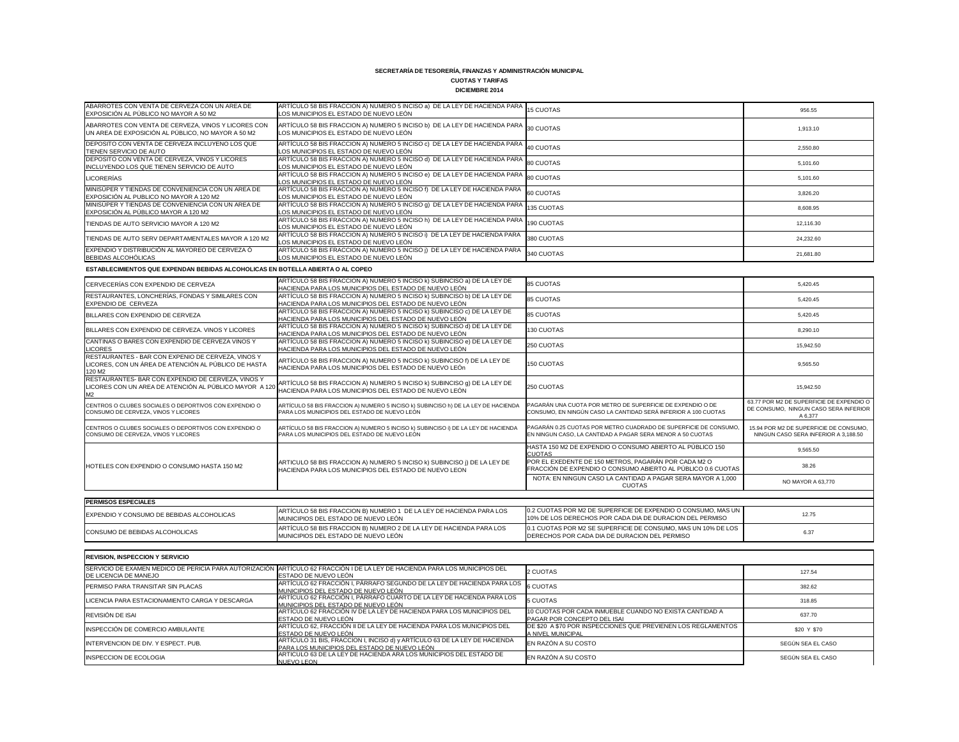## **CUOTAS Y TARIFAS DICIEMBRE 2014**

| ABARROTES CON VENTA DE CERVEZA CON UN AREA DE<br>EXPOSICIÓN AL PÚBLICO NO MAYOR A 50 M2                   | ARTÍCULO 58 BIS FRACCION A) NUMERO 5 INCISO a) DE LA LEY DE HACIENDA PARA 15 CUOTAS<br>LOS MUNICIPIOS EL ESTADO DE NUEVO LEÓN  |                         | 956.55    |
|-----------------------------------------------------------------------------------------------------------|--------------------------------------------------------------------------------------------------------------------------------|-------------------------|-----------|
| ABARROTES CON VENTA DE CERVEZA, VINOS Y LICORES CON<br>UN AREA DE EXPOSICIÓN AL PÚBLICO, NO MAYOR A 50 M2 | ARTÍCULO 58 BIS FRACCION A) NUMERO 5 INCISO b) DE LA LEY DE HACIENDA PARA 30 CUOTAS<br>LOS MUNICIPIOS EL ESTADO DE NUEVO LEÓN  |                         | 1,913.10  |
| DEPOSITO CON VENTA DE CERVEZA INCLUYENO LOS QUE<br><b>ITIENEN SERVICIO DE AUTO</b>                        | ARTÍCULO 58 BIS FRACCION A) NUMERO 5 INCISO c) DE LA LEY DE HACIENDA PARA 40 CUOTAS<br>LOS MUNICIPIOS EL ESTADO DE NUEVO LEÓN  |                         | 2,550.80  |
| DEPOSITO CON VENTA DE CERVEZA, VINOS Y LICORES<br>INCLUYENDO LOS QUE TIENEN SERVICIO DE AUTO              | ARTÍCULO 58 BIS FRACCION A) NUMERO 5 INCISO d) DE LA LEY DE HACIENDA PARA 80 CUOTAS<br>LOS MUNICIPIOS EL ESTADO DE NUEVO LEÓN  |                         | 5,101.60  |
| <b>LICORERÍAS</b>                                                                                         | ARTÍCULO 58 BIS FRACCION A) NUMERO 5 INCISO e) DE LA LEY DE HACIENDA PARA 80 CUOTAS<br>LOS MUNICIPIOS EL ESTADO DE NUEVO LEÓN  |                         | 5,101.60  |
| MINISÚPER Y TIENDAS DE CONVENIENCIA CON UN AREA DE<br>EXPOSICIÓN AL PUBLICO NO MAYOR A 120 M2             | ARTÍCULO 58 BIS FRACCION A) NUMERO 5 INCISO f) DE LA LEY DE HACIENDA PARA 60 CUOTAS<br>LOS MUNICIPIOS EL ESTADO DE NUEVO LEÓN  |                         | 3,826.20  |
| MINISÚPER Y TIENDAS DE CONVENIENCIA CON UN AREA DE<br>EXPOSICIÓN AL PÚBLICO MAYOR A 120 M2                | ARTÍCULO 58 BIS FRACCION A) NUMERO 5 INCISO 9) DE LA LEY DE HACIENDA PARA 135 CUOTAS<br>LOS MUNICIPIOS EL ESTADO DE NUEVO LEÓN |                         | 8,608.95  |
| TIENDAS DE AUTO SERVICIO MAYOR A 120 M2                                                                   | ARTÍCULO 58 BIS FRACCION A) NUMERO 5 INCISO h) DE LA LEY DE HACIENDA PARA 190 CUOTAS<br>LOS MUNICIPIOS EL ESTADO DE NUEVO LEÓN |                         | 12,116.30 |
| TIENDAS DE AUTO SERV DEPARTAMENTALES MAYOR A 120 M2                                                       | ARTÍCULO 58 BIS FRACCION A) NUMERO 5 INCISO i) DE LA LEY DE HACIENDA PARA<br>LOS MUNICIPIOS EL ESTADO DE NUEVO LEÓN            | 380 CUOTAS              | 24,232.60 |
| EXPENDIO Y DISTRIBUCIÓN AL MAYOREO DE CERVEZA Ó<br><b>BEBIDAS ALCOHÓLICAS</b>                             | ARTÍCULO 58 BIS FRACCION A) NUMERO 5 INCISO ¡) DE LA LEY DE HACIENDA PARA<br>LOS MUNICIPIOS EL ESTADO DE NUEVO LEÓN            | <sup>1</sup> 340 CUOTAS | 21,681.80 |

| CERVECERÍAS CON EXPENDIO DE CERVEZA                                                                                  | ARTÍCULO 58 BIS FRACCION A) NUMERO 5 INCISO k) SUBINCISO a) DE LA LEY DE<br>HACIENDA PARA LOS MUNICIPIOS DEL ESTADO DE NUEVO LEÓN | <b>85 CUOTAS</b>                                                                                                              | 5,420.45                                                                                     |
|----------------------------------------------------------------------------------------------------------------------|-----------------------------------------------------------------------------------------------------------------------------------|-------------------------------------------------------------------------------------------------------------------------------|----------------------------------------------------------------------------------------------|
| RESTAURANTES, LONCHERÍAS, FONDAS Y SIMILARES CON<br>EXPENDIO DE CERVEZA                                              | ARTÍCULO 58 BIS FRACCION A) NUMERO 5 INCISO k) SUBINCISO b) DE LA LEY DE<br>HACIENDA PARA LOS MUNICIPIOS DEL ESTADO DE NUEVO LEÓN | <b>85 CUOTAS</b>                                                                                                              | 5,420.45                                                                                     |
| BILLARES CON EXPENDIO DE CERVEZA                                                                                     | ARTÍCULO 58 BIS FRACCION A) NUMERO 5 INCISO k) SUBINCISO c) DE LA LEY DE<br>HACIENDA PARA LOS MUNICIPIOS DEL ESTADO DE NUEVO LEÓN | <b>85 CUOTAS</b>                                                                                                              | 5,420.45                                                                                     |
| BILLARES CON EXPENDIO DE CERVEZA. VINOS Y LICORES                                                                    | ARTÍCULO 58 BIS FRACCION A) NUMERO 5 INCISO k) SUBINCISO d) DE LA LEY DE<br>HACIENDA PARA LOS MUNICIPIOS DEL ESTADO DE NUEVO LEÓN | 130 CUOTAS                                                                                                                    | 8,290.10                                                                                     |
| CANTINAS O BARES CON EXPENDIO DE CERVEZA VINOS Y<br><b>LICORES</b>                                                   | ARTÍCULO 58 BIS FRACCION A) NUMERO 5 INCISO k) SUBINCISO e) DE LA LEY DE<br>HACIENDA PARA LOS MUNICIPIOS DEL ESTADO DE NUEVO LEÓN | 250 CUOTAS                                                                                                                    | 15,942.50                                                                                    |
| RESTAURANTES - BAR CON EXPENIO DE CERVEZA, VINOS Y<br>LICORES, CON UN ÁREA DE ATENCIÓN AL PÚBLICO DE HASTA<br>120 M2 | ARTÍCULO 58 BIS FRACCION A) NUMERO 5 INCISO k) SUBINCISO f) DE LA LEY DE<br>HACIENDA PARA LOS MUNICIPIOS DEL ESTADO DE NUEVO LEÓN | 150 CUOTAS                                                                                                                    | 9,565.50                                                                                     |
| RESTAURANTES- BAR CON EXPENDIO DE CERVEZA, VINOS Y<br>LICORES CON UN AREA DE ATENCIÓN AL PÚBLICO MAYOR A 120<br>M2   | ARTÍCULO 58 BIS FRACCION A) NUMERO 5 INCISO k) SUBINCISO 9) DE LA LEY DE<br>HACIENDA PARA LOS MUNICIPIOS DEL ESTADO DE NUEVO LEÓN | 250 CUOTAS                                                                                                                    | 15,942.50                                                                                    |
| CENTROS O CLUBES SOCIALES O DEPORTIVOS CON EXPENDIO O<br>CONSUMO DE CERVEZA, VINOS Y LICORES                         | ARTÍCULO 58 BIS FRACCION A) NUMERO 5 INCISO k) SUBINCISO h) DE LA LEY DE HACIENDA<br>PARA LOS MUNICIPIOS DEL ESTADO DE NUEVO LEÓN | PAGARÁN UNA CUOTA POR METRO DE SUPERFICIE DE EXPENDIO O DE<br>CONSUMO, EN NINGÚN CASO LA CANTIDAD SERÁ INFERIOR A 100 CUOTAS  | 63.77 POR M2 DE SUPERFICIE DE EXPENDIO O<br>DE CONSUMO, NINGUN CASO SERA INFERIOR<br>A 6.377 |
| CENTROS O CLUBES SOCIALES O DEPORTIVOS CON EXPENDIO O<br>CONSUMO DE CERVEZA, VINOS Y LICORES                         | ARTÍCULO 58 BIS FRACCION A) NUMERO 5 INCISO k) SUBINCISO i) DE LA LEY DE HACIENDA<br>PARA LOS MUNICIPIOS DEL ESTADO DE NUEVO LEÓN | PAGARÁN 0.25 CUOTAS POR METRO CUADRADO DE SUPERFICIE DE CONSUMO<br>EN NINGUN CASO, LA CANTIDAD A PAGAR SERA MENOR A 50 CUOTAS | 15.94 POR M2 DE SUPERFICIE DE CONSUMO,<br>NINGUN CASO SERA INFERIOR A 3.188.50               |
|                                                                                                                      |                                                                                                                                   | HASTA 150 M2 DE EXPENDIO O CONSUMO ABIERTO AL PÚBLICO 150<br><b>CUOTAS</b>                                                    | 9.565.50                                                                                     |
| HOTELES CON EXPENDIO O CONSUMO HASTA 150 M2                                                                          | ARTICULO 58 BIS FRACCION A) NUMERO 5 INCISO k) SUBINCISO j) DE LA LEY DE<br>HACIENDA PARA LOS MUNICIPIOS DEL ESTADO DE NUEVO LEON | POR EL EXEDENTE DE 150 METROS, PAGARÁN POR CADA M2 O<br>FRACCIÓN DE EXPENDIO O CONSUMO ABIERTO AL PÚBLICO 0.6 CUOTAS          | 38.26                                                                                        |
|                                                                                                                      |                                                                                                                                   | NOTA: EN NINGUN CASO LA CANTIDAD A PAGAR SERA MAYOR A 1,000<br><b>CUOTAS</b>                                                  | NO MAYOR A 63,770                                                                            |
|                                                                                                                      |                                                                                                                                   |                                                                                                                               |                                                                                              |
| <b>PERMISOS ESPECIALES</b>                                                                                           |                                                                                                                                   |                                                                                                                               |                                                                                              |
| EXPENDIO Y CONSUMO DE BEBIDAS ALCOHOLICAS                                                                            | ARTÍCULO 58 BIS FRACCION B) NUMERO 1 DE LA LEY DE HACIENDA PARA LOS<br>MUNICIPIOS DEL ESTADO DE NUEVO LEÓN                        | 0.2 CUOTAS POR M2 DE SUPERFICIE DE EXPENDIO O CONSUMO, MAS UN<br>10% DE LOS DERECHOS POR CADA DIA DE DURACION DEL PERMISO     | 12.75                                                                                        |
| CONSUMO DE BEBIDAS ALCOHOLICAS                                                                                       | ARTÍCULO 58 BIS FRACCION B) NUMERO 2 DE LA LEY DE HACIENDA PARA LOS<br>MUNICIPIOS DEL ESTADO DE NUEVO LEÓN                        | 0.1 CUOTAS POR M2 SE SUPERFICIE DE CONSUMO, MAS UN 10% DE LOS<br>DERECHOS POR CADA DIA DE DURACION DEL PERMISO                | 6.37                                                                                         |

| CERVECERÍAS CON EXPENDIO DE CERVEZA                                                                                            | ARTÍCULO 58 BIS FRACCION A) NUMERO 5 INCISO k) SUBINCISO a) DE LA LEY DE<br>HACIENDA PARA LOS MUNICIPIOS DEL ESTADO DE NUEVO LEÓN | <b>85 CUOTAS</b>                                                                                                              | 5,420.45                                                                                     |
|--------------------------------------------------------------------------------------------------------------------------------|-----------------------------------------------------------------------------------------------------------------------------------|-------------------------------------------------------------------------------------------------------------------------------|----------------------------------------------------------------------------------------------|
| RESTAURANTES, LONCHERÍAS, FONDAS Y SIMILARES CON<br>EXPENDIO DE CERVEZA                                                        | ARTÍCULO 58 BIS FRACCION A) NUMERO 5 INCISO k) SUBINCISO b) DE LA LEY DE<br>HACIENDA PARA LOS MUNICIPIOS DEL ESTADO DE NUEVO LEÓN | <b>85 CUOTAS</b>                                                                                                              | 5,420.45                                                                                     |
| BILLARES CON EXPENDIO DE CERVEZA                                                                                               | ARTÍCULO 58 BIS FRACCION A) NUMERO 5 INCISO k) SUBINCISO c) DE LA LEY DE<br>HACIENDA PARA LOS MUNICIPIOS DEL ESTADO DE NUEVO LEÓN | <b>85 CUOTAS</b>                                                                                                              | 5,420.45                                                                                     |
| BILLARES CON EXPENDIO DE CERVEZA. VINOS Y LICORES                                                                              | ARTÍCULO 58 BIS FRACCION A) NUMERO 5 INCISO k) SUBINCISO d) DE LA LEY DE<br>HACIENDA PARA LOS MUNICIPIOS DEL ESTADO DE NUEVO LEÓN | 130 CUOTAS                                                                                                                    | 8,290.10                                                                                     |
| CANTINAS O BARES CON EXPENDIO DE CERVEZA VINOS Y<br><b>LICORES</b>                                                             | ARTÍCULO 58 BIS FRACCION A) NUMERO 5 INCISO k) SUBINCISO e) DE LA LEY DE<br>HACIENDA PARA LOS MUNICIPIOS DEL ESTADO DE NUEVO LEÓN | 250 CUOTAS                                                                                                                    | 15,942.50                                                                                    |
| RESTAURANTES - BAR CON EXPENIO DE CERVEZA, VINOS Y<br>LICORES, CON UN ÁREA DE ATENCIÓN AL PÚBLICO DE HASTA<br>120 M2           | ARTÍCULO 58 BIS FRACCION A) NUMERO 5 INCISO k) SUBINCISO f) DE LA LEY DE<br>HACIENDA PARA LOS MUNICIPIOS DEL ESTADO DE NUEVO LEÓN | 150 CUOTAS                                                                                                                    | 9,565.50                                                                                     |
| RESTAURANTES- BAR CON EXPENDIO DE CERVEZA, VINOS Y<br>LICORES CON UN AREA DE ATENCIÓN AL PÚBLICO MAYOR A 120<br>M <sub>2</sub> | ARTÍCULO 58 BIS FRACCION A) NUMERO 5 INCISO k) SUBINCISO 9) DE LA LEY DE<br>HACIENDA PARA LOS MUNICIPIOS DEL ESTADO DE NUEVO LEÓN | 250 CUOTAS                                                                                                                    | 15,942.50                                                                                    |
| CENTROS O CLUBES SOCIALES O DEPORTIVOS CON EXPENDIO O<br>CONSUMO DE CERVEZA, VINOS Y LICORES                                   | ARTÍCULO 58 BIS FRACCION A) NUMERO 5 INCISO k) SUBINCISO h) DE LA LEY DE HACIENDA<br>PARA LOS MUNICIPIOS DEL ESTADO DE NUEVO LEÓN | PAGARÁN UNA CUOTA POR METRO DE SUPERFICIE DE EXPENDIO O DE<br>CONSUMO, EN NINGÚN CASO LA CANTIDAD SERÁ INFERIOR A 100 CUOTAS  | 63.77 POR M2 DE SUPERFICIE DE EXPENDIO O<br>DE CONSUMO, NINGUN CASO SERA INFERIOR<br>A 6.377 |
| CENTROS O CLUBES SOCIALES O DEPORTIVOS CON EXPENDIO O<br>CONSUMO DE CERVEZA, VINOS Y LICORES                                   | ARTÍCULO 58 BIS FRACCION A) NUMERO 5 INCISO k) SUBINCISO i) DE LA LEY DE HACIENDA<br>PARA LOS MUNICIPIOS DEL ESTADO DE NUEVO LEÓN | PAGARÁN 0.25 CUOTAS POR METRO CUADRADO DE SUPERFICIE DE CONSUMO<br>EN NINGUN CASO, LA CANTIDAD A PAGAR SERA MENOR A 50 CUOTAS | 15.94 POR M2 DE SUPERFICIE DE CONSUMO,<br>NINGUN CASO SERA INFERIOR A 3.188.50               |
|                                                                                                                                |                                                                                                                                   | HASTA 150 M2 DE EXPENDIO O CONSUMO ABIERTO AL PÚBLICO 150<br><b>CUOTAS</b>                                                    | 9.565.50                                                                                     |
| HOTELES CON EXPENDIO O CONSUMO HASTA 150 M2                                                                                    | ARTICULO 58 BIS FRACCION A) NUMERO 5 INCISO k) SUBINCISO j) DE LA LEY DE<br>HACIENDA PARA LOS MUNICIPIOS DEL ESTADO DE NUEVO LEON | POR EL EXEDENTE DE 150 METROS, PAGARÁN POR CADA M2 O<br>FRACCIÓN DE EXPENDIO O CONSUMO ABIERTO AL PÚBLICO 0.6 CUOTAS          | 38.26                                                                                        |
|                                                                                                                                |                                                                                                                                   | NOTA: EN NINGUN CASO LA CANTIDAD A PAGAR SERA MAYOR A 1,000<br><b>CUOTAS</b>                                                  | NO MAYOR A 63,770                                                                            |
|                                                                                                                                |                                                                                                                                   |                                                                                                                               |                                                                                              |
| <b>PERMISOS ESPECIALES</b>                                                                                                     |                                                                                                                                   |                                                                                                                               |                                                                                              |
| EXPENDIO Y CONSUMO DE BEBIDAS ALCOHOLICAS                                                                                      | ARTÍCULO 58 BIS FRACCION B) NUMERO 1 DE LA LEY DE HACIENDA PARA LOS<br>MUNICIPIOS DEL ESTADO DE NUEVO LEÓN                        | 0.2 CUOTAS POR M2 DE SUPERFICIE DE EXPENDIO O CONSUMO, MAS UN<br>10% DE LOS DERECHOS POR CADA DIA DE DURACION DEL PERMISO     | 12.75                                                                                        |
| CONSUMO DE BEBIDAS ALCOHOLICAS                                                                                                 | ARTÍCULO 58 BIS FRACCION B) NUMERO 2 DE LA LEY DE HACIENDA PARA LOS<br>MUNICIPIOS DEL ESTADO DE NUEVO LEÓN                        | 0.1 CUOTAS POR M2 SE SUPERFICIE DE CONSUMO, MAS UN 10% DE LOS<br>DERECHOS POR CADA DIA DE DURACION DEL PERMISO                | 6.37                                                                                         |

| <b>IREVISION. INSPECCION Y SERVICIO</b>        |                                                                                                                                                             |                                                                                        |                   |
|------------------------------------------------|-------------------------------------------------------------------------------------------------------------------------------------------------------------|----------------------------------------------------------------------------------------|-------------------|
| <b>IDE LICENCIA DE MANEJO</b>                  | SERVICIO DE EXAMEN MEDICO DE PERICIA PARA AUTORIZACIÓN ARTÍCULO 62 FRACCIÓN I DE LA LEY DE HACIENDA PARA LOS MUNICIPIOS DEL<br><b>IESTADO DE NUEVO LEÓN</b> | 2 CUOTAS                                                                               | 127.54            |
| <b>IPERMISO PARA TRANSITAR SIN PLACAS</b>      | ARTÍCULO 62 FRACCIÓN I, PÁRRAFO SEGUNDO DE LA LEY DE HACIENDA PARA LOS 6 CUOTAS<br>MUNICIPIOS DEL ESTADO DE NUEVO LEÓN                                      |                                                                                        | 382.62            |
| LICENCIA PARA ESTACIONAMIENTO CARGA Y DESCARGA | ARTÍCULO 62 FRACCIÓN I, PÁRRAFO CUARTO DE LA LEY DE HACIENDA PARA LOS<br>MUNICIPIOS DEL ESTADO DE NUEVO LEÓN                                                | 5 CUOTAS                                                                               | 318.85            |
| REVISIÓN DE ISAI                               | ARTÍCULO 62 FRACCIÓN IV DE LA LEY DE HACIENDA PARA LOS MUNICIPIOS DEL<br><b>ESTADO DE NUEVO LEÓN</b>                                                        | 10 CUOTAS POR CADA INMUEBLE CUANDO NO EXISTA CANTIDAD A<br>PAGAR POR CONCEPTO DEL ISAI | 637.70            |
| INSPECCIÓN DE COMERCIO AMBULANTE               | ARTÍCULO 62, FRACCIÓN II DE LA LEY DE HACIENDA PARA LOS MUNICIPIOS DEL<br>ESTADO DE NUEVO LEÓN                                                              | DE \$20 A \$70 POR INSPECCIONES QUE PREVIENEN LOS REGLAMENTOS<br>A NIVEL MUNICIPAL     | \$20 Y \$70       |
| <b>INTERVENCION DE DIV. Y ESPECT. PUB.</b>     | ARTÍCULO 31 BIS, FRACCION I, INCISO d) y ARTÍCULO 63 DE LA LEY DE HACIENDA<br>PARA LOS MUNICIPIOS DEL ESTADO DE NUEVO LEÓN                                  | EN RAZÓN A SU COSTO                                                                    | SEGÚN SEA EL CASO |
| <b>IINSPECCION DE ECOLOGIA</b>                 | ARTICULO 63 DE LA LEY DE HACIENDA ARA LOS MUNICIPIOS DEL ESTADO DE<br><b>INUEVO LEON</b>                                                                    | EN RAZÓN A SU COSTO                                                                    | SEGÚN SEA EL CASO |

**ESTABLECIMIENTOS QUE EXPENDAN BEBIDAS ALCOHOLICAS EN BOTELLA ABIERTA O AL COPEO**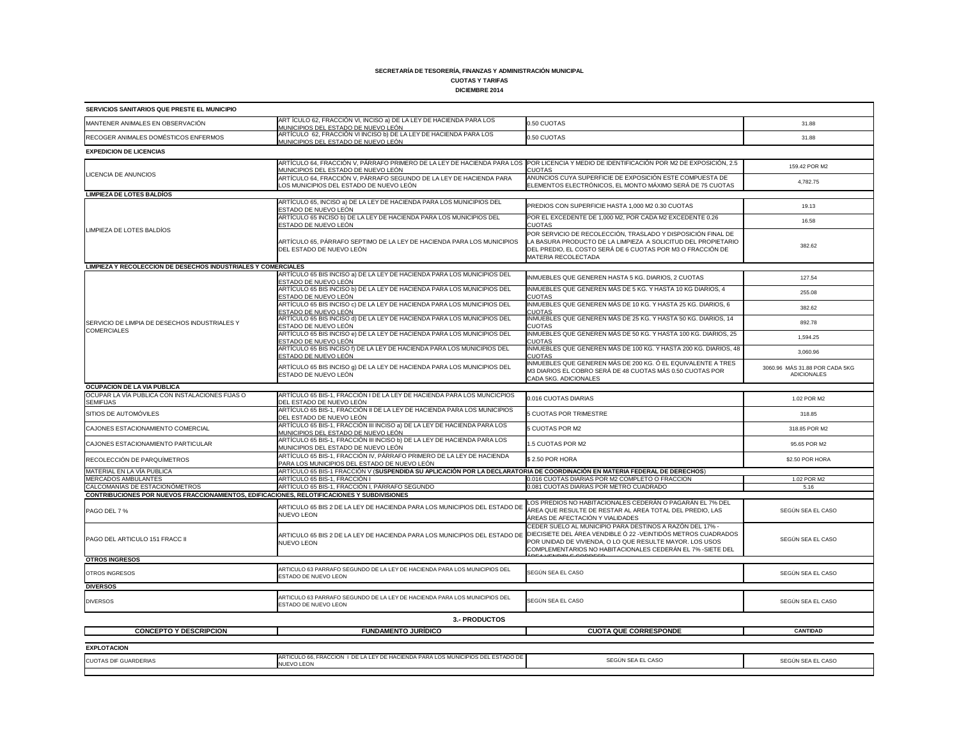# **CUOTAS Y TARIFAS**

**DICIEMBRE 2014**

| SERVICIOS SANITARIOS QUE PRESTE EL MUNICIPIO                                                       |                                                                                                                                                                                 |                                                                                                                                                                                                                                                       |                                                      |  |
|----------------------------------------------------------------------------------------------------|---------------------------------------------------------------------------------------------------------------------------------------------------------------------------------|-------------------------------------------------------------------------------------------------------------------------------------------------------------------------------------------------------------------------------------------------------|------------------------------------------------------|--|
| MANTENER ANIMALES EN OBSERVACIÓN                                                                   | ART ÍCULO 62, FRACCIÓN VI, INCISO a) DE LA LEY DE HACIENDA PARA LOS<br>MUNICIPIOS DEL ESTADO DE NUEVO LEÓN.                                                                     | 0.50 CUOTAS                                                                                                                                                                                                                                           | 31.88                                                |  |
| RECOGER ANIMALES DOMÉSTICOS ENFERMOS                                                               | ARTÍCULO 62, FRACCIÓN VI INCISO b) DE LA LEY DE HACIENDA PARA LOS<br>MUNICIPIOS DEL ESTADO DE NUEVO LEÓN.                                                                       | 0.50 CUOTAS                                                                                                                                                                                                                                           | 31.88                                                |  |
| <b>EXPEDICION DE LICENCIAS</b>                                                                     |                                                                                                                                                                                 |                                                                                                                                                                                                                                                       |                                                      |  |
|                                                                                                    | ARTÍCULO 64, FRACCIÓN V, PÁRRAFO PRIMERO DE LA LEY DE HACIENDA PARA LOS POR LICENCIA Y MEDIO DE IDENTIFICACIÓN POR M2 DE EXPOSICIÓN, 2.5<br>MUNICIPIOS DEL ESTADO DE NUEVO LEÓN | <b>CUOTAS</b>                                                                                                                                                                                                                                         | 159.42 POR M2                                        |  |
| <b>LICENCIA DE ANUNCIOS</b>                                                                        | ARTÍCULO 64, FRACCIÓN V, PÁRRAFO SEGUNDO DE LA LEY DE HACIENDA PARA<br>LOS MUNICIPIOS DEL ESTADO DE NUEVO LEÓN                                                                  | ANUNCIOS CUYA SUPERFICIE DE EXPOSICIÓN ESTE COMPUESTA DE<br>ELEMENTOS ELECTRÓNICOS, EL MONTO MÁXIMO SERÁ DE 75 CUOTAS                                                                                                                                 | 4,782.75                                             |  |
| <b>LIMPIEZA DE LOTES BALDÍOS</b>                                                                   |                                                                                                                                                                                 |                                                                                                                                                                                                                                                       |                                                      |  |
|                                                                                                    | ARTÍCULO 65, INCISO a) DE LA LEY DE HACIENDA PARA LOS MUNICIPIOS DEL<br>ESTADO DE NUEVO LEÓN                                                                                    | PREDIOS CON SUPERFICIE HASTA 1,000 M2 0.30 CUOTAS                                                                                                                                                                                                     | 19.13                                                |  |
| LIMPIEZA DE LOTES BALDÍOS                                                                          | ARTÍCULO 65 INCISO b) DE LA LEY DE HACIENDA PARA LOS MUNICIPIOS DEL<br>ESTADO DE NUEVO LEÓN                                                                                     | POR EL EXCEDENTE DE 1,000 M2, POR CADA M2 EXCEDENTE 0.26<br><b>CUOTAS</b>                                                                                                                                                                             | 16.58                                                |  |
|                                                                                                    | ARTÍCULO 65, PÁRRAFO SEPTIMO DE LA LEY DE HACIENDA PARA LOS MUNICIPIOS<br>DEL ESTADO DE NUEVO LEÓN                                                                              | POR SERVICIO DE RECOLECCIÓN, TRASLADO Y DISPOSICIÓN FINAL DE<br>LA BASURA PRODUCTO DE LA LIMPIEZA A SOLICITUD DEL PROPIETARIO<br>DEL PREDIO, EL COSTO SERÁ DE 6 CUOTAS POR M3 O FRACCIÓN DE<br>MATERIA RECOLECTADA                                    | 382.62                                               |  |
| <b>LIMPIEZA Y RECOLECCION DE DESECHOS INDUSTRIALES Y COMERCIALES</b>                               |                                                                                                                                                                                 |                                                                                                                                                                                                                                                       |                                                      |  |
|                                                                                                    | ARTÍCULO 65 BIS INCISO a) DE LA LEY DE HACIENDA PARA LOS MUNICIPIOS DEL<br>ESTADO DE NUEVO LEÓN                                                                                 | INMUEBLES QUE GENEREN HASTA 5 KG. DIARIOS, 2 CUOTAS                                                                                                                                                                                                   | 127.54                                               |  |
|                                                                                                    | ARTÍCULO 65 BIS INCISO b) DE LA LEY DE HACIENDA PARA LOS MUNICIPIOS DEL<br>ESTADO DE NUEVO LEÓN                                                                                 | INMUEBLES QUE GENEREN MÁS DE 5 KG. Y HASTA 10 KG DIARIOS, 4<br><b>CUOTAS</b>                                                                                                                                                                          | 255.08                                               |  |
|                                                                                                    | ARTÍCULO 65 BIS INCISO c) DE LA LEY DE HACIENDA PARA LOS MUNICIPIOS DEL<br>ESTADO DE NUEVO LEÓN                                                                                 | INMUEBLES QUE GENEREN MÁS DE 10 KG. Y HASTA 25 KG. DIARIOS, 6<br><b>CUOTAS</b>                                                                                                                                                                        | 382.62                                               |  |
| SERVICIO DE LIMPIA DE DESECHOS INDUSTRIALES Y                                                      | ARTÍCULO 65 BIS INCISO d) DE LA LEY DE HACIENDA PARA LOS MUNICIPIOS DEL<br>ESTADO DE NUEVO LEÓN                                                                                 | INMUEBLES QUE GENEREN MÁS DE 25 KG. Y HASTA 50 KG. DIARIOS, 14<br><b>CUOTAS</b>                                                                                                                                                                       | 892.78                                               |  |
| <b>COMERCIALES</b>                                                                                 | ARTÍCULO 65 BIS INCISO e) DE LA LEY DE HACIENDA PARA LOS MUNICIPIOS DEL<br><u>ESTADO DE NUEVO LEÓN</u>                                                                          | INMUEBLES QUE GENEREN MÁS DE 50 KG. Y HASTA 100 KG. DIARIOS, 25<br><b>CUOTAS</b>                                                                                                                                                                      | 1,594.25                                             |  |
|                                                                                                    | ARTÍCULO 65 BIS INCISO f) DE LA LEY DE HACIENDA PARA LOS MUNICIPIOS DEL<br>ESTADO DE NUEVO LEÓN                                                                                 | INMUEBLES QUE GENEREN MÁS DE 100 KG. Y HASTA 200 KG. DIARIOS, 48<br><b>CUOTAS</b>                                                                                                                                                                     | 3,060.96                                             |  |
|                                                                                                    | ARTÍCULO 65 BIS INCISO 9) DE LA LEY DE HACIENDA PARA LOS MUNICIPIOS DEL<br>ESTADO DE NUEVO LEÓN                                                                                 | INMUEBLES QUE GENEREN MÁS DE 200 KG. Ó EL EQUIVALENTE A TRES<br>M3 DIARIOS EL COBRO SERÁ DE 48 CUOTAS MÁS 0.50 CUOTAS POR<br>CADA 5KG. ADICIONALES                                                                                                    | 3060.96 MÁS 31.88 POR CADA 5KG<br><b>ADICIONALES</b> |  |
| <b>OCUPACION DE LA VIA PUBLICA</b>                                                                 |                                                                                                                                                                                 |                                                                                                                                                                                                                                                       |                                                      |  |
| OCUPAR LA VÍA PUBLICA CON INSTALACIONES FIJAS O<br><b>SEMIFIJAS</b>                                | ARTÍCULO 65 BIS-1, FRACCIÓN I DE LA LEY DE HACIENDA PARA LOS MUNCICPIOS<br>DEL ESTADO DE NUEVO LEON                                                                             | 0.016 CUOTAS DIARIAS                                                                                                                                                                                                                                  | 1.02 POR M2                                          |  |
| SITIOS DE AUTOMÓVILES                                                                              | ARTÍCULO 65 BIS-1, FRACCIÓN II DE LA LEY DE HACIENDA PARA LOS MUNICIPIOS<br>DEL ESTADO DE NUEVO LEÓN                                                                            | 5 CUOTAS POR TRIMESTRE                                                                                                                                                                                                                                | 318.85                                               |  |
| CAJONES ESTACIONAMIENTO COMERCIAL                                                                  | ARTÍCULO 65 BIS-1, FRACCIÓN III INCISO a) DE LA LEY DE HACIENDA PARA LOS<br>MUNICIPIOS DEL ESTADO DE NUEVO LEÓN                                                                 | 5 CUOTAS POR M2                                                                                                                                                                                                                                       | 318.85 POR M2                                        |  |
| CAJONES ESTACIONAMIENTO PARTICULAR                                                                 | ARTÍCULO 65 BIS-1, FRACCIÓN III INCISO b) DE LA LEY DE HACIENDA PARA LOS<br>MUNICIPIOS DEL ESTADO DE NUEVO LEÓN                                                                 | 1.5 CUOTAS POR M2                                                                                                                                                                                                                                     | 95.65 POR M2                                         |  |
| RECOLECCIÓN DE PARQUÍMETROS                                                                        | ARTÍCULO 65 BIS-1, FRACCIÓN IV, PÁRRAFO PRIMERO DE LA LEY DE HACIENDA<br>PARA LOS MUNICIPIOS DEL ESTADO DE NUEVO LEÓN                                                           | \$2.50 POR HORA                                                                                                                                                                                                                                       | \$2.50 POR HORA                                      |  |
| MATERIAL EN LA VÍA PUBLICA                                                                         | ARTÍCULO 65 BIS-1 FRACCIÓN V (SUSPENDIDA SU APLICACIÓN POR LA DECLARATORIA DE COORDINACIÓN EN MATERIA FEDERAL DE DERECHOS)                                                      |                                                                                                                                                                                                                                                       |                                                      |  |
| <b>MERCADOS AMBULANTES</b><br>CALCOMANÍAS DE ESTACIONÓMETROS                                       | ARTÍCULO 65 BIS-1, FRACCIÓN I<br>ARTÍCULO 65 BIS-1, FRACCIÓN I, PÁRRAFO SEGUNDO                                                                                                 | 0.016 CUOTAS DIARIAS POR M2 COMPLETO O FRACCION<br>0.081 CUOTAS DIARIAS POR METRO CUADRADO                                                                                                                                                            | 1.02 POR M2<br>5.16                                  |  |
| <b>CONTRIBUCIONES POR NUEVOS FRACCIONAMIENTOS, EDIFICACIONES, RELOTIFICACIONES Y SUBDIVISIONES</b> |                                                                                                                                                                                 |                                                                                                                                                                                                                                                       |                                                      |  |
| PAGO DEL 7 %                                                                                       | ARTICULO 65 BIS 2 DE LA LEY DE HACIENDA PARA LOS MUNICIPIOS DEL ESTADO DE<br><b>NUEVO LEON</b>                                                                                  | LOS PREDIOS NO HABITACIONALES CEDERÁN O PAGARÁN EL 7% DEL<br>ÁREA QUE RESULTE DE RESTAR AL AREA TOTAL DEL PREDIO, LAS<br>ÁREAS DE AFECTACIÓN Y VIALIDADES                                                                                             | SEGÚN SEA EL CASO                                    |  |
| PAGO DEL ARTICULO 151 FRACC II                                                                     | ARTICULO 65 BIS 2 DE LA LEY DE HACIENDA PARA LOS MUNICIPIOS DEL ESTADO D<br><b>NUEVO LEON</b>                                                                                   | CEDER SUELO AL MUNICIPIO PARA DESTINOS A RAZÓN DEL 17% -<br>DIECISIETE DEL ÁREA VENDIBLE Ó 22 - VEINTIDÓS METROS CUADRADOS<br>POR UNIDAD DE VIVIENDA, O LO QUE RESULTE MAYOR. LOS USOS<br>COMPLEMENTARIOS NO HABITACIONALES CEDERÁN EL 7% - SIETE DEL | SEGÚN SEA EL CASO                                    |  |
| <b>OTROS INGRESOS</b>                                                                              |                                                                                                                                                                                 |                                                                                                                                                                                                                                                       |                                                      |  |
| <b>OTROS INGRESOS</b>                                                                              | ARTICULO 63 PARRAFO SEGUNDO DE LA LEY DE HACIENDA PARA LOS MUNICIPIOS DEL<br>ESTADO DE NUEVO LEON                                                                               | SEGÚN SEA EL CASO                                                                                                                                                                                                                                     | SEGÚN SEA EL CASO                                    |  |
| <b>DIVERSOS</b>                                                                                    |                                                                                                                                                                                 |                                                                                                                                                                                                                                                       |                                                      |  |
| <b>DIVERSOS</b>                                                                                    | ARTICULO 63 PARRAFO SEGUNDO DE LA LEY DE HACIENDA PARA LOS MUNICIPIOS DEL<br>ESTADO DE NUEVO LEON                                                                               | SEGÚN SEA EL CASO                                                                                                                                                                                                                                     | SEGÚN SEA EL CASO                                    |  |
|                                                                                                    | <b>3.- PRODUCTOS</b>                                                                                                                                                            |                                                                                                                                                                                                                                                       |                                                      |  |
| <b>CONCEPTO Y DESCRIPCION</b>                                                                      | <b>FUNDAMENTO JURÍDICO</b>                                                                                                                                                      | <b>CUOTA QUE CORRESPONDE</b>                                                                                                                                                                                                                          | <b>CANTIDAD</b>                                      |  |
|                                                                                                    |                                                                                                                                                                                 |                                                                                                                                                                                                                                                       |                                                      |  |
| <b>EXPLOTACION</b>                                                                                 |                                                                                                                                                                                 |                                                                                                                                                                                                                                                       |                                                      |  |
| <b>CUOTAS DIF GUARDERIAS</b>                                                                       | ARTICULO 66, FRACCION I DE LA LEY DE HACIENDA PARA LOS MUNICIPIOS DEL ESTADO DE<br><b>NUEVO LEON</b>                                                                            | SEGÚN SEA EL CASO                                                                                                                                                                                                                                     | SEGÚN SEA EL CASO                                    |  |